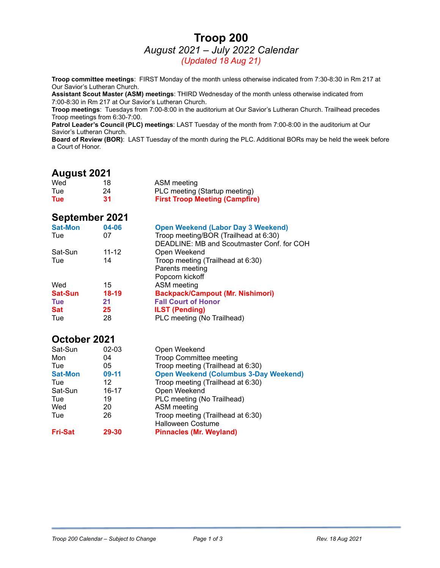### **Troop 200** *August 2021 – July 2022 Calendar (Updated 18 Aug 21)*

**Troop committee meetings**: FIRST Monday of the month unless otherwise indicated from 7:30-8:30 in Rm 217 at Our Savior's Lutheran Church.

**Assistant Scout Master (ASM) meetings**: THIRD Wednesday of the month unless otherwise indicated from 7:00-8:30 in Rm 217 at Our Savior's Lutheran Church.

**Troop meetings**: Tuesdays from 7:00-8:00 in the auditorium at Our Savior's Lutheran Church. Trailhead precedes Troop meetings from 6:30-7:00.

**Patrol Leader's Council (PLC) meetings**: LAST Tuesday of the month from 7:00-8:00 in the auditorium at Our Savior's Lutheran Church.

**Board of Review (BOR)**: LAST Tuesday of the month during the PLC. Additional BORs may be held the week before a Court of Honor.

### **August 2021**

| Wed        | 18 | ASM meeting                           |
|------------|----|---------------------------------------|
| Tue        | 24 | PLC meeting (Startup meeting)         |
| <b>Tue</b> | 31 | <b>First Troop Meeting (Campfire)</b> |

#### **September 2021**

| <b>Sat-Mon</b> | 04-06     | <b>Open Weekend (Labor Day 3 Weekend)</b>  |
|----------------|-----------|--------------------------------------------|
| Tue            | 07        | Troop meeting/BOR (Trailhead at 6:30)      |
|                |           | DEADLINE: MB and Scoutmaster Conf. for COH |
| Sat-Sun        | $11 - 12$ | Open Weekend                               |
| Tue            | 14        | Troop meeting (Trailhead at 6:30)          |
|                |           | Parents meeting                            |
|                |           | Popcorn kickoff                            |
| Wed            | 15        | ASM meeting                                |
| <b>Sat-Sun</b> | $18-19$   | <b>Backpack/Campout (Mr. Nishimori)</b>    |
| <b>Tue</b>     | 21        | <b>Fall Court of Honor</b>                 |
| <b>Sat</b>     | 25        | <b>ILST (Pending)</b>                      |
| Tue            | 28        | PLC meeting (No Trailhead)                 |

### **October 2021**

| Sat-Sun        | 02-03   | Open Weekend                                 |
|----------------|---------|----------------------------------------------|
| Mon            | 04      | <b>Troop Committee meeting</b>               |
| Tue            | 05      | Troop meeting (Trailhead at 6:30)            |
| <b>Sat-Mon</b> | $09-11$ | <b>Open Weekend (Columbus 3-Day Weekend)</b> |
| Tue            | 12      | Troop meeting (Trailhead at 6:30)            |
| Sat-Sun        | 16-17   | Open Weekend                                 |
| Tue            | 19      | PLC meeting (No Trailhead)                   |
| Wed            | 20      | ASM meeting                                  |
| Tue            | 26      | Troop meeting (Trailhead at 6:30)            |
|                |         | <b>Halloween Costume</b>                     |
| <b>Fri-Sat</b> | 29-30   | <b>Pinnacles (Mr. Weyland)</b>               |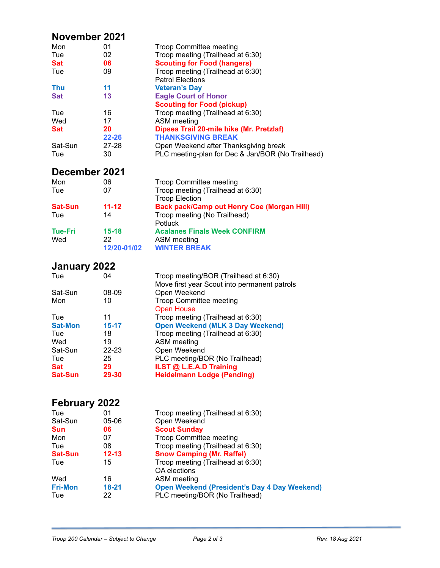# **November 2021**

| Mon        | 01        | <b>Troop Committee meeting</b>                    |
|------------|-----------|---------------------------------------------------|
| Tue        | 02        | Troop meeting (Trailhead at 6:30)                 |
| <b>Sat</b> | 06        | <b>Scouting for Food (hangers)</b>                |
| Tue        | 09        | Troop meeting (Trailhead at 6:30)                 |
|            |           | <b>Patrol Elections</b>                           |
| <b>Thu</b> | 11        | <b>Veteran's Day</b>                              |
| <b>Sat</b> | 13        | <b>Eagle Court of Honor</b>                       |
|            |           | <b>Scouting for Food (pickup)</b>                 |
| Tue        | 16        | Troop meeting (Trailhead at 6:30)                 |
| Wed        | 17        | ASM meeting                                       |
| <b>Sat</b> | 20        | Dipsea Trail 20-mile hike (Mr. Pretzlaf)          |
|            | $22 - 26$ | <b>THANKSGIVING BREAK</b>                         |
| Sat-Sun    | 27-28     | Open Weekend after Thanksgiving break             |
| Tue        | 30        | PLC meeting-plan for Dec & Jan/BOR (No Trailhead) |

# **December 2021**

| 06          | <b>Troop Committee meeting</b>                    |
|-------------|---------------------------------------------------|
| 07          | Troop meeting (Trailhead at 6:30)                 |
|             | <b>Troop Election</b>                             |
| $11 - 12$   | <b>Back pack/Camp out Henry Coe (Morgan Hill)</b> |
| 14          | Troop meeting (No Trailhead)                      |
|             | Potluck                                           |
| $15-18$     | <b>Acalanes Finals Week CONFIRM</b>               |
| 22          | ASM meeting                                       |
| 12/20-01/02 | <b>WINTER BREAK</b>                               |
|             |                                                   |

# **January 2022**

| Tue            | 04        | Troop meeting/BOR (Trailhead at 6:30)<br>Move first year Scout into permanent patrols |
|----------------|-----------|---------------------------------------------------------------------------------------|
| Sat-Sun        | 08-09     | Open Weekend                                                                          |
| Mon            | 10        | <b>Troop Committee meeting</b>                                                        |
|                |           | <b>Open House</b>                                                                     |
| Tue            | 11        | Troop meeting (Trailhead at 6:30)                                                     |
| <b>Sat-Mon</b> | $15 - 17$ | <b>Open Weekend (MLK 3 Day Weekend)</b>                                               |
| Tue            | 18        | Troop meeting (Trailhead at 6:30)                                                     |
| Wed            | 19        | ASM meeting                                                                           |
| Sat-Sun        | $22 - 23$ | Open Weekend                                                                          |
| Tue            | 25        | PLC meeting/BOR (No Trailhead)                                                        |
| Sat            | 29        | ILST @ L.E.A.D Training                                                               |
| <b>Sat-Sun</b> | 29-30     | <b>Heidelmann Lodge (Pending)</b>                                                     |
|                |           |                                                                                       |

# **February 2022**

| 01        | Troop meeting (Trailhead at 6:30)                   |
|-----------|-----------------------------------------------------|
| $05 - 06$ | Open Weekend                                        |
| 06        | <b>Scout Sunday</b>                                 |
| 07        | <b>Troop Committee meeting</b>                      |
| 08        | Troop meeting (Trailhead at 6:30)                   |
| $12 - 13$ | <b>Snow Camping (Mr. Raffel)</b>                    |
| 15        | Troop meeting (Trailhead at 6:30)<br>OA elections   |
| 16        | ASM meeting                                         |
| $18 - 21$ | <b>Open Weekend (President's Day 4 Day Weekend)</b> |
| 22        | PLC meeting/BOR (No Trailhead)                      |
|           |                                                     |